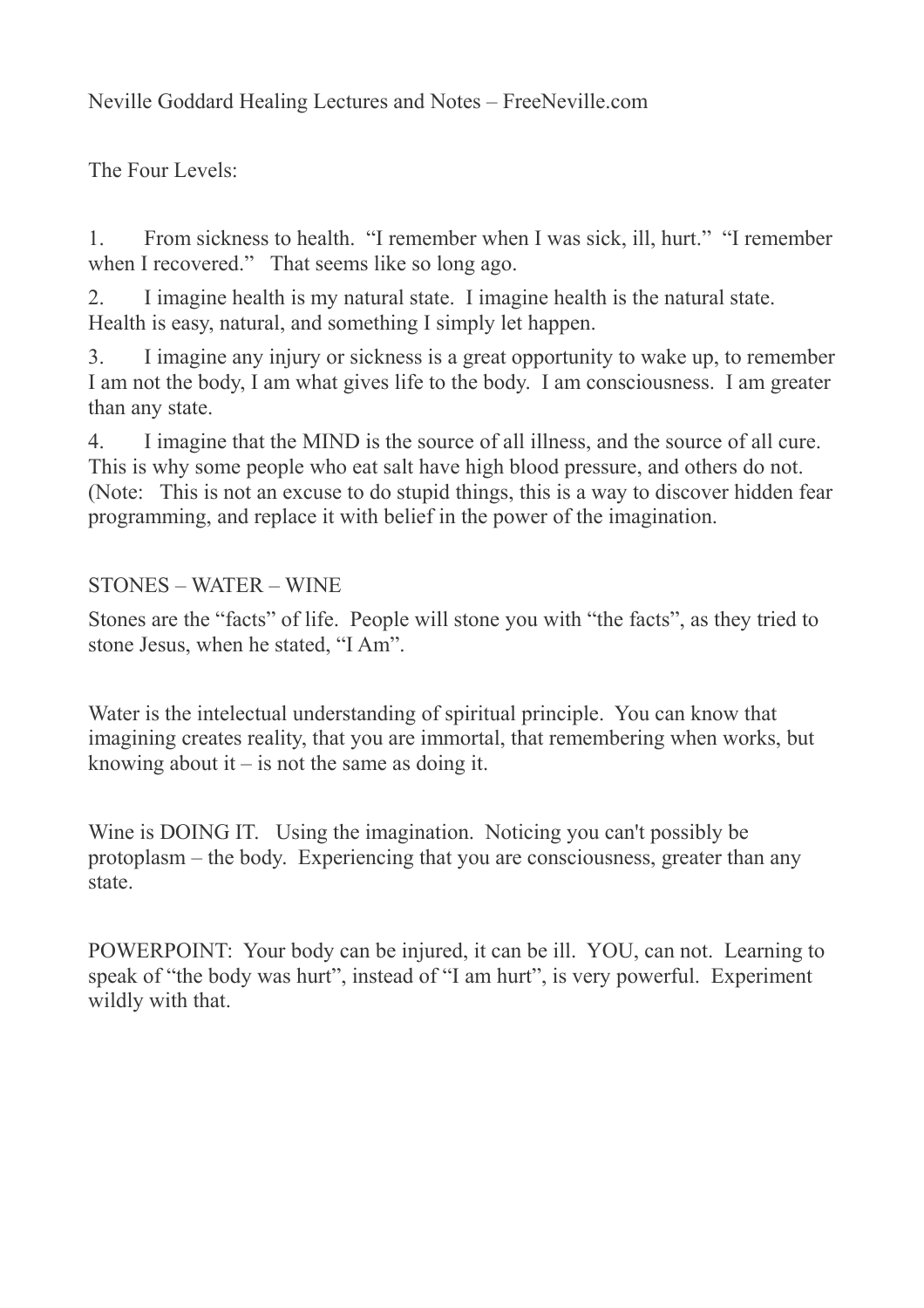Neville Goddard Healing Lectures and Notes – FreeNeville.com

The Four Levels:

1. From sickness to health. "I remember when I was sick, ill, hurt." "I remember when I recovered." That seems like so long ago.

2. I imagine health is my natural state. I imagine health is the natural state. Health is easy, natural, and something I simply let happen.

3. I imagine any injury or sickness is a great opportunity to wake up, to remember I am not the body, I am what gives life to the body. I am consciousness. I am greater than any state.

4. I imagine that the MIND is the source of all illness, and the source of all cure. This is why some people who eat salt have high blood pressure, and others do not. (Note: This is not an excuse to do stupid things, this is a way to discover hidden fear programming, and replace it with belief in the power of the imagination.

## STONES – WATER – WINE

Stones are the "facts" of life. People will stone you with "the facts", as they tried to stone Jesus, when he stated, "I Am".

Water is the intelectual understanding of spiritual principle. You can know that imagining creates reality, that you are immortal, that remembering when works, but knowing about it  $-$  is not the same as doing it.

Wine is DOING IT. Using the imagination. Noticing you can't possibly be protoplasm – the body. Experiencing that you are consciousness, greater than any state.

POWERPOINT: Your body can be injured, it can be ill. YOU, can not. Learning to speak of "the body was hurt", instead of "I am hurt", is very powerful. Experiment wildly with that.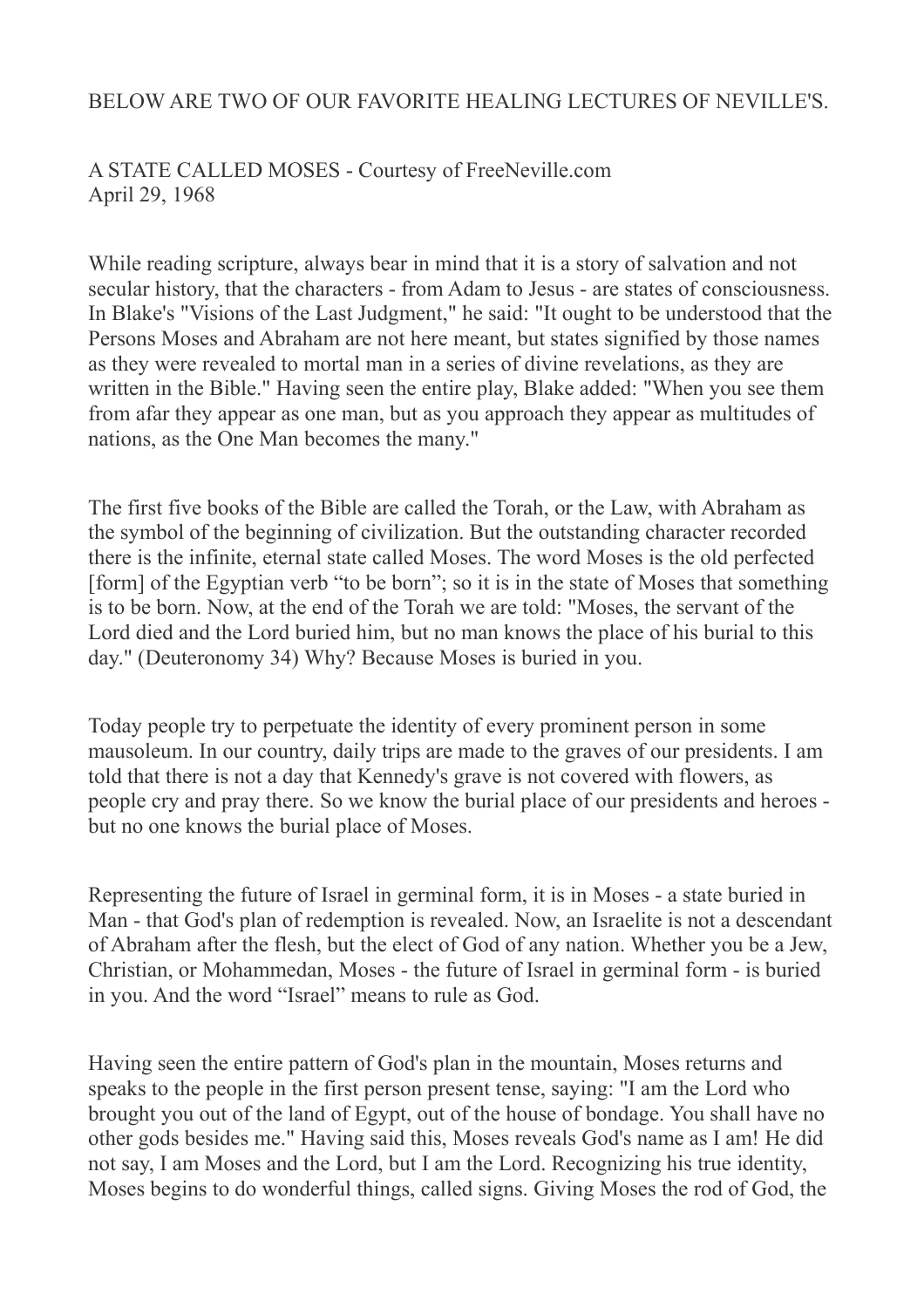## BELOW ARE TWO OF OUR FAVORITE HEALING LECTURES OF NEVILLE'S.

## A STATE CALLED MOSES - Courtesy of FreeNeville.com April 29, 1968

While reading scripture, always bear in mind that it is a story of salvation and not secular history, that the characters - from Adam to Jesus - are states of consciousness. In Blake's "Visions of the Last Judgment," he said: "It ought to be understood that the Persons Moses and Abraham are not here meant, but states signified by those names as they were revealed to mortal man in a series of divine revelations, as they are written in the Bible." Having seen the entire play, Blake added: "When you see them from afar they appear as one man, but as you approach they appear as multitudes of nations, as the One Man becomes the many."

The first five books of the Bible are called the Torah, or the Law, with Abraham as the symbol of the beginning of civilization. But the outstanding character recorded there is the infinite, eternal state called Moses. The word Moses is the old perfected [form] of the Egyptian verb "to be born"; so it is in the state of Moses that something is to be born. Now, at the end of the Torah we are told: "Moses, the servant of the Lord died and the Lord buried him, but no man knows the place of his burial to this day." (Deuteronomy 34) Why? Because Moses is buried in you.

Today people try to perpetuate the identity of every prominent person in some mausoleum. In our country, daily trips are made to the graves of our presidents. I am told that there is not a day that Kennedy's grave is not covered with flowers, as people cry and pray there. So we know the burial place of our presidents and heroes but no one knows the burial place of Moses.

Representing the future of Israel in germinal form, it is in Moses - a state buried in Man - that God's plan of redemption is revealed. Now, an Israelite is not a descendant of Abraham after the flesh, but the elect of God of any nation. Whether you be a Jew, Christian, or Mohammedan, Moses - the future of Israel in germinal form - is buried in you. And the word "Israel" means to rule as God.

Having seen the entire pattern of God's plan in the mountain, Moses returns and speaks to the people in the first person present tense, saying: "I am the Lord who brought you out of the land of Egypt, out of the house of bondage. You shall have no other gods besides me." Having said this, Moses reveals God's name as I am! He did not say, I am Moses and the Lord, but I am the Lord. Recognizing his true identity, Moses begins to do wonderful things, called signs. Giving Moses the rod of God, the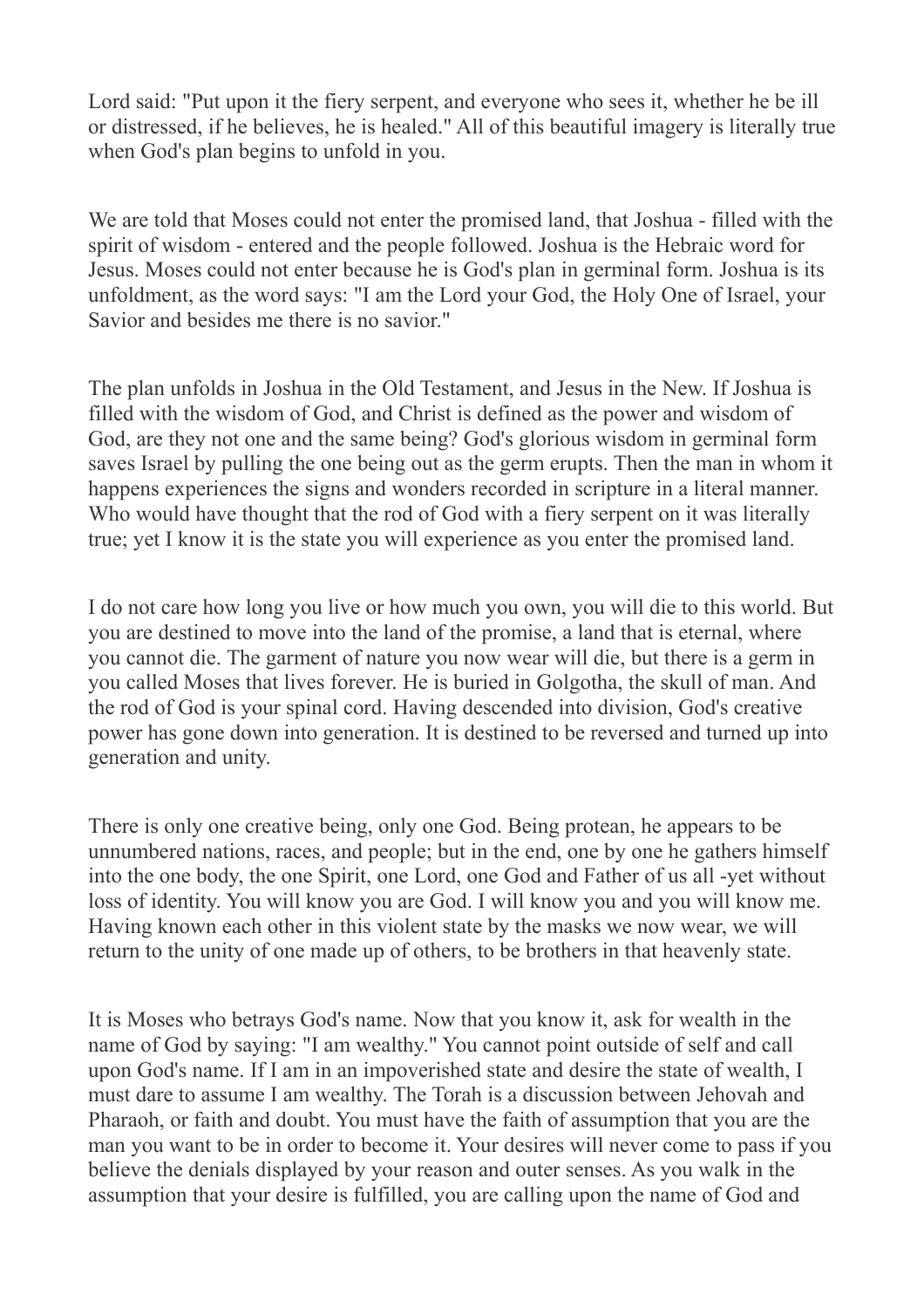Lord said: "Put upon it the fiery serpent, and everyone who sees it, whether he be ill or distressed, if he believes, he is healed." All of this beautiful imagery is literally true when God's plan begins to unfold in you.

We are told that Moses could not enter the promised land, that Joshua - filled with the spirit of wisdom - entered and the people followed. Joshua is the Hebraic word for Jesus. Moses could not enter because he is God's plan in germinal form. Joshua is its unfoldment, as the word says: "I am the Lord your God, the Holy One of Israel, your Savior and besides me there is no savior."

The plan unfolds in Joshua in the Old Testament, and Jesus in the New. If Joshua is filled with the wisdom of God, and Christ is defined as the power and wisdom of God, are they not one and the same being? God's glorious wisdom in germinal form saves Israel by pulling the one being out as the germ erupts. Then the man in whom it happens experiences the signs and wonders recorded in scripture in a literal manner. Who would have thought that the rod of God with a fiery serpent on it was literally true; yet I know it is the state you will experience as you enter the promised land.

I do not care how long you live or how much you own, you will die to this world. But you are destined to move into the land of the promise, a land that is eternal, where you cannot die. The garment of nature you now wear will die, but there is a germ in you called Moses that lives forever. He is buried in Golgotha, the skull of man. And the rod of God is your spinal cord. Having descended into division, God's creative power has gone down into generation. It is destined to be reversed and turned up into generation and unity.

There is only one creative being, only one God. Being protean, he appears to be unnumbered nations, races, and people; but in the end, one by one he gathers himself into the one body, the one Spirit, one Lord, one God and Father of us all -yet without loss of identity. You will know you are God. I will know you and you will know me. Having known each other in this violent state by the masks we now wear, we will return to the unity of one made up of others, to be brothers in that heavenly state.

It is Moses who betrays God's name. Now that you know it, ask for wealth in the name of God by saying: "I am wealthy." You cannot point outside of self and call upon God's name. If I am in an impoverished state and desire the state of wealth, I must dare to assume I am wealthy. The Torah is a discussion between Jehovah and Pharaoh, or faith and doubt. You must have the faith of assumption that you are the man you want to be in order to become it. Your desires will never come to pass if you believe the denials displayed by your reason and outer senses. As you walk in the assumption that your desire is fulfilled, you are calling upon the name of God and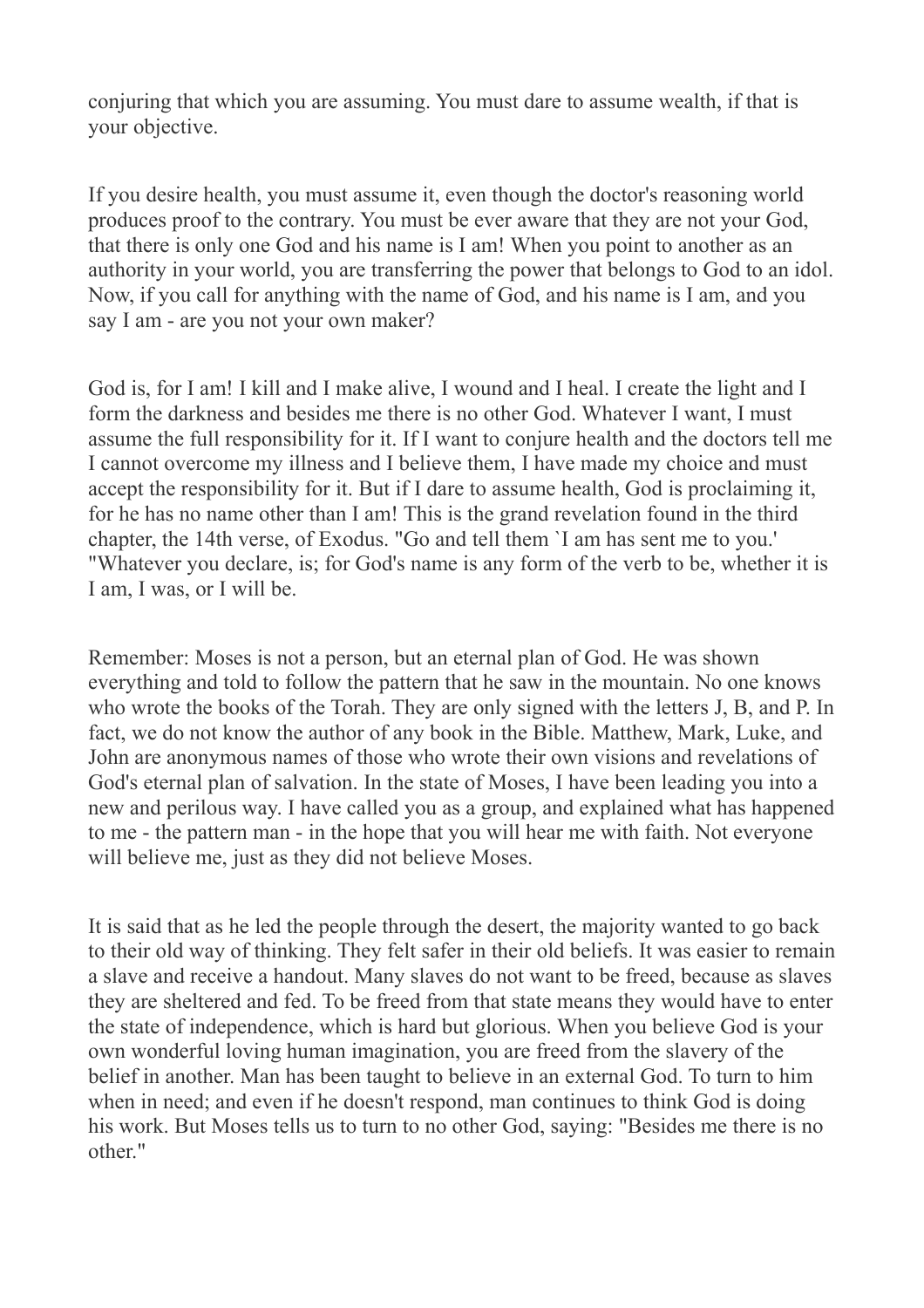conjuring that which you are assuming. You must dare to assume wealth, if that is your objective.

If you desire health, you must assume it, even though the doctor's reasoning world produces proof to the contrary. You must be ever aware that they are not your God, that there is only one God and his name is I am! When you point to another as an authority in your world, you are transferring the power that belongs to God to an idol. Now, if you call for anything with the name of God, and his name is I am, and you say I am - are you not your own maker?

God is, for I am! I kill and I make alive, I wound and I heal. I create the light and I form the darkness and besides me there is no other God. Whatever I want, I must assume the full responsibility for it. If I want to conjure health and the doctors tell me I cannot overcome my illness and I believe them, I have made my choice and must accept the responsibility for it. But if I dare to assume health, God is proclaiming it, for he has no name other than I am! This is the grand revelation found in the third chapter, the 14th verse, of Exodus. "Go and tell them `I am has sent me to you.' "Whatever you declare, is; for God's name is any form of the verb to be, whether it is I am, I was, or I will be.

Remember: Moses is not a person, but an eternal plan of God. He was shown everything and told to follow the pattern that he saw in the mountain. No one knows who wrote the books of the Torah. They are only signed with the letters J, B, and P. In fact, we do not know the author of any book in the Bible. Matthew, Mark, Luke, and John are anonymous names of those who wrote their own visions and revelations of God's eternal plan of salvation. In the state of Moses, I have been leading you into a new and perilous way. I have called you as a group, and explained what has happened to me - the pattern man - in the hope that you will hear me with faith. Not everyone will believe me, just as they did not believe Moses.

It is said that as he led the people through the desert, the majority wanted to go back to their old way of thinking. They felt safer in their old beliefs. It was easier to remain a slave and receive a handout. Many slaves do not want to be freed, because as slaves they are sheltered and fed. To be freed from that state means they would have to enter the state of independence, which is hard but glorious. When you believe God is your own wonderful loving human imagination, you are freed from the slavery of the belief in another. Man has been taught to believe in an external God. To turn to him when in need; and even if he doesn't respond, man continues to think God is doing his work. But Moses tells us to turn to no other God, saying: "Besides me there is no other."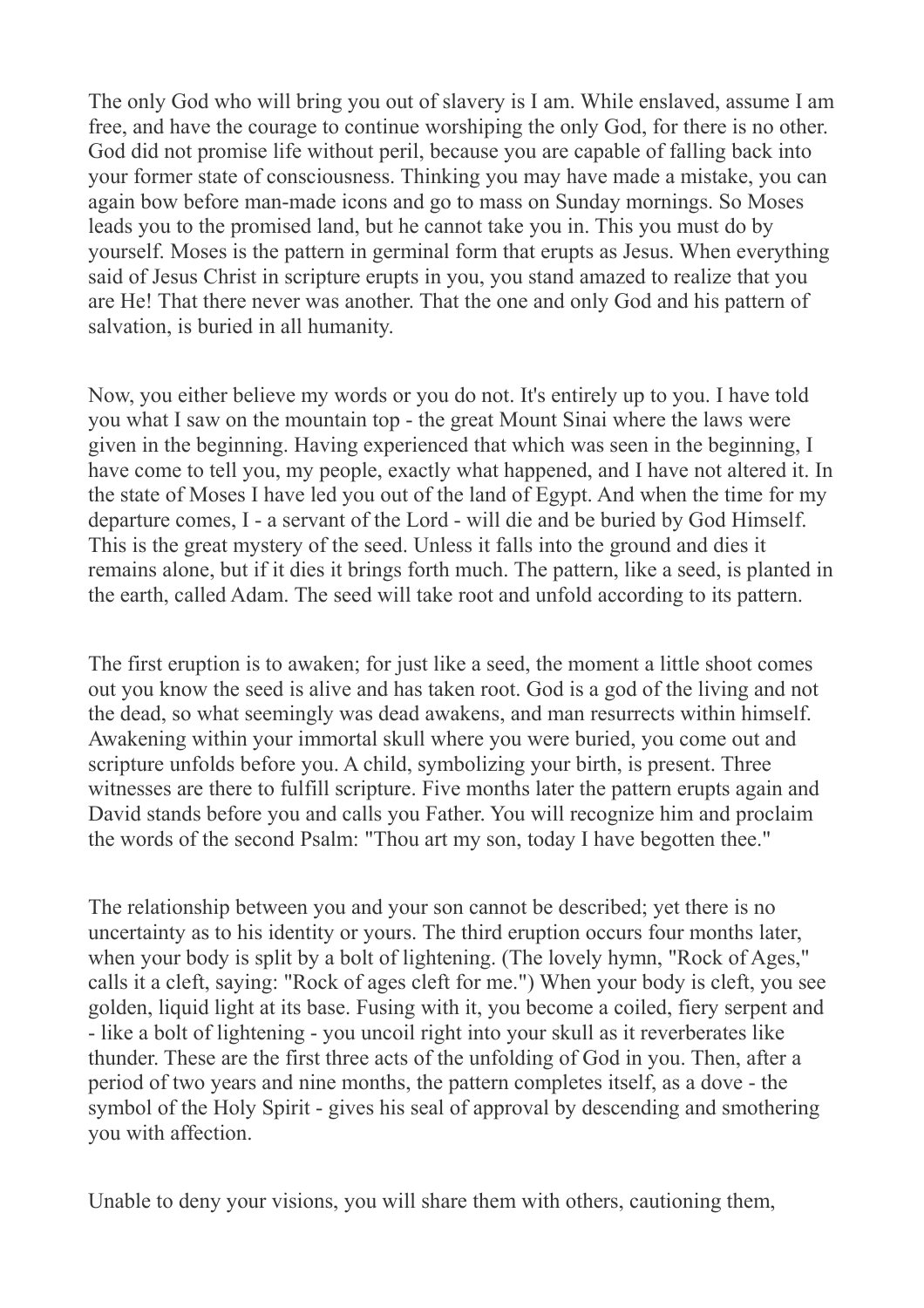The only God who will bring you out of slavery is I am. While enslaved, assume I am free, and have the courage to continue worshiping the only God, for there is no other. God did not promise life without peril, because you are capable of falling back into your former state of consciousness. Thinking you may have made a mistake, you can again bow before man-made icons and go to mass on Sunday mornings. So Moses leads you to the promised land, but he cannot take you in. This you must do by yourself. Moses is the pattern in germinal form that erupts as Jesus. When everything said of Jesus Christ in scripture erupts in you, you stand amazed to realize that you are He! That there never was another. That the one and only God and his pattern of salvation, is buried in all humanity.

Now, you either believe my words or you do not. It's entirely up to you. I have told you what I saw on the mountain top - the great Mount Sinai where the laws were given in the beginning. Having experienced that which was seen in the beginning, I have come to tell you, my people, exactly what happened, and I have not altered it. In the state of Moses I have led you out of the land of Egypt. And when the time for my departure comes, I - a servant of the Lord - will die and be buried by God Himself. This is the great mystery of the seed. Unless it falls into the ground and dies it remains alone, but if it dies it brings forth much. The pattern, like a seed, is planted in the earth, called Adam. The seed will take root and unfold according to its pattern.

The first eruption is to awaken; for just like a seed, the moment a little shoot comes out you know the seed is alive and has taken root. God is a god of the living and not the dead, so what seemingly was dead awakens, and man resurrects within himself. Awakening within your immortal skull where you were buried, you come out and scripture unfolds before you. A child, symbolizing your birth, is present. Three witnesses are there to fulfill scripture. Five months later the pattern erupts again and David stands before you and calls you Father. You will recognize him and proclaim the words of the second Psalm: "Thou art my son, today I have begotten thee."

The relationship between you and your son cannot be described; yet there is no uncertainty as to his identity or yours. The third eruption occurs four months later, when your body is split by a bolt of lightening. (The lovely hymn, "Rock of Ages," calls it a cleft, saying: "Rock of ages cleft for me.") When your body is cleft, you see golden, liquid light at its base. Fusing with it, you become a coiled, fiery serpent and - like a bolt of lightening - you uncoil right into your skull as it reverberates like thunder. These are the first three acts of the unfolding of God in you. Then, after a period of two years and nine months, the pattern completes itself, as a dove - the symbol of the Holy Spirit - gives his seal of approval by descending and smothering you with affection.

Unable to deny your visions, you will share them with others, cautioning them,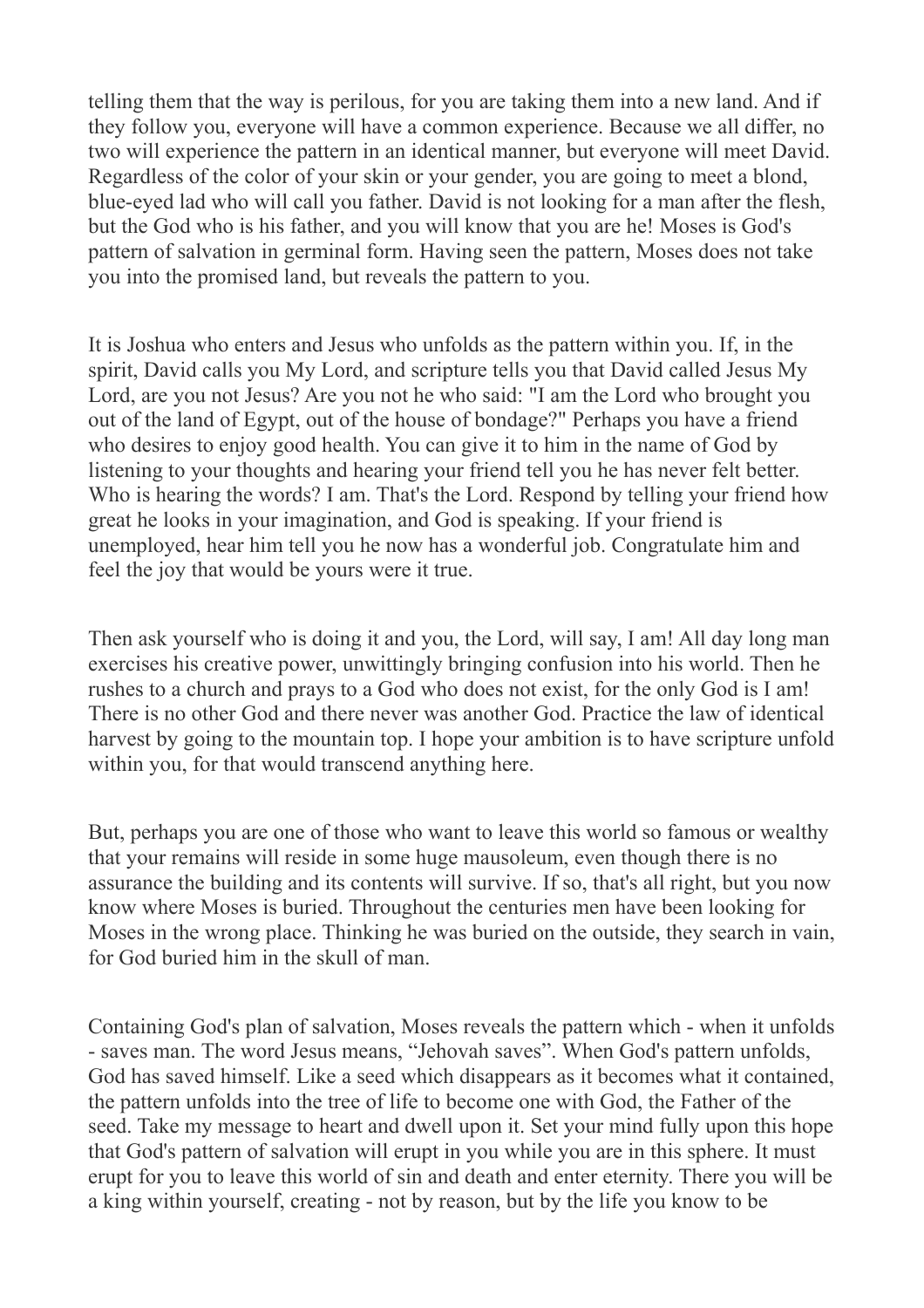telling them that the way is perilous, for you are taking them into a new land. And if they follow you, everyone will have a common experience. Because we all differ, no two will experience the pattern in an identical manner, but everyone will meet David. Regardless of the color of your skin or your gender, you are going to meet a blond, blue-eyed lad who will call you father. David is not looking for a man after the flesh, but the God who is his father, and you will know that you are he! Moses is God's pattern of salvation in germinal form. Having seen the pattern, Moses does not take you into the promised land, but reveals the pattern to you.

It is Joshua who enters and Jesus who unfolds as the pattern within you. If, in the spirit, David calls you My Lord, and scripture tells you that David called Jesus My Lord, are you not Jesus? Are you not he who said: "I am the Lord who brought you out of the land of Egypt, out of the house of bondage?" Perhaps you have a friend who desires to enjoy good health. You can give it to him in the name of God by listening to your thoughts and hearing your friend tell you he has never felt better. Who is hearing the words? I am. That's the Lord. Respond by telling your friend how great he looks in your imagination, and God is speaking. If your friend is unemployed, hear him tell you he now has a wonderful job. Congratulate him and feel the joy that would be yours were it true.

Then ask yourself who is doing it and you, the Lord, will say, I am! All day long man exercises his creative power, unwittingly bringing confusion into his world. Then he rushes to a church and prays to a God who does not exist, for the only God is I am! There is no other God and there never was another God. Practice the law of identical harvest by going to the mountain top. I hope your ambition is to have scripture unfold within you, for that would transcend anything here.

But, perhaps you are one of those who want to leave this world so famous or wealthy that your remains will reside in some huge mausoleum, even though there is no assurance the building and its contents will survive. If so, that's all right, but you now know where Moses is buried. Throughout the centuries men have been looking for Moses in the wrong place. Thinking he was buried on the outside, they search in vain, for God buried him in the skull of man.

Containing God's plan of salvation, Moses reveals the pattern which - when it unfolds - saves man. The word Jesus means, "Jehovah saves". When God's pattern unfolds, God has saved himself. Like a seed which disappears as it becomes what it contained, the pattern unfolds into the tree of life to become one with God, the Father of the seed. Take my message to heart and dwell upon it. Set your mind fully upon this hope that God's pattern of salvation will erupt in you while you are in this sphere. It must erupt for you to leave this world of sin and death and enter eternity. There you will be a king within yourself, creating - not by reason, but by the life you know to be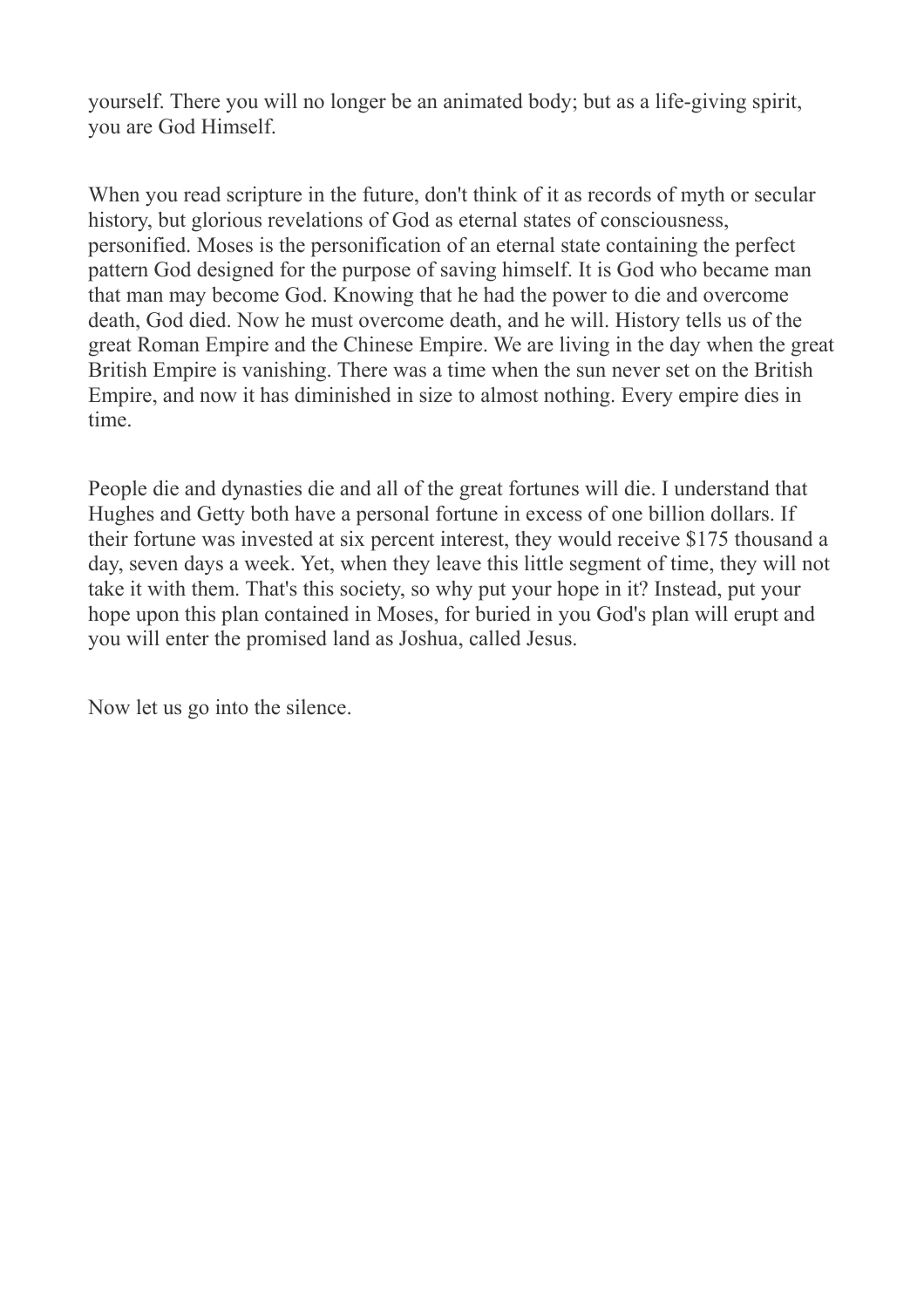yourself. There you will no longer be an animated body; but as a life-giving spirit, you are God Himself.

When you read scripture in the future, don't think of it as records of myth or secular history, but glorious revelations of God as eternal states of consciousness, personified. Moses is the personification of an eternal state containing the perfect pattern God designed for the purpose of saving himself. It is God who became man that man may become God. Knowing that he had the power to die and overcome death, God died. Now he must overcome death, and he will. History tells us of the great Roman Empire and the Chinese Empire. We are living in the day when the great British Empire is vanishing. There was a time when the sun never set on the British Empire, and now it has diminished in size to almost nothing. Every empire dies in time.

People die and dynasties die and all of the great fortunes will die. I understand that Hughes and Getty both have a personal fortune in excess of one billion dollars. If their fortune was invested at six percent interest, they would receive \$175 thousand a day, seven days a week. Yet, when they leave this little segment of time, they will not take it with them. That's this society, so why put your hope in it? Instead, put your hope upon this plan contained in Moses, for buried in you God's plan will erupt and you will enter the promised land as Joshua, called Jesus.

Now let us go into the silence.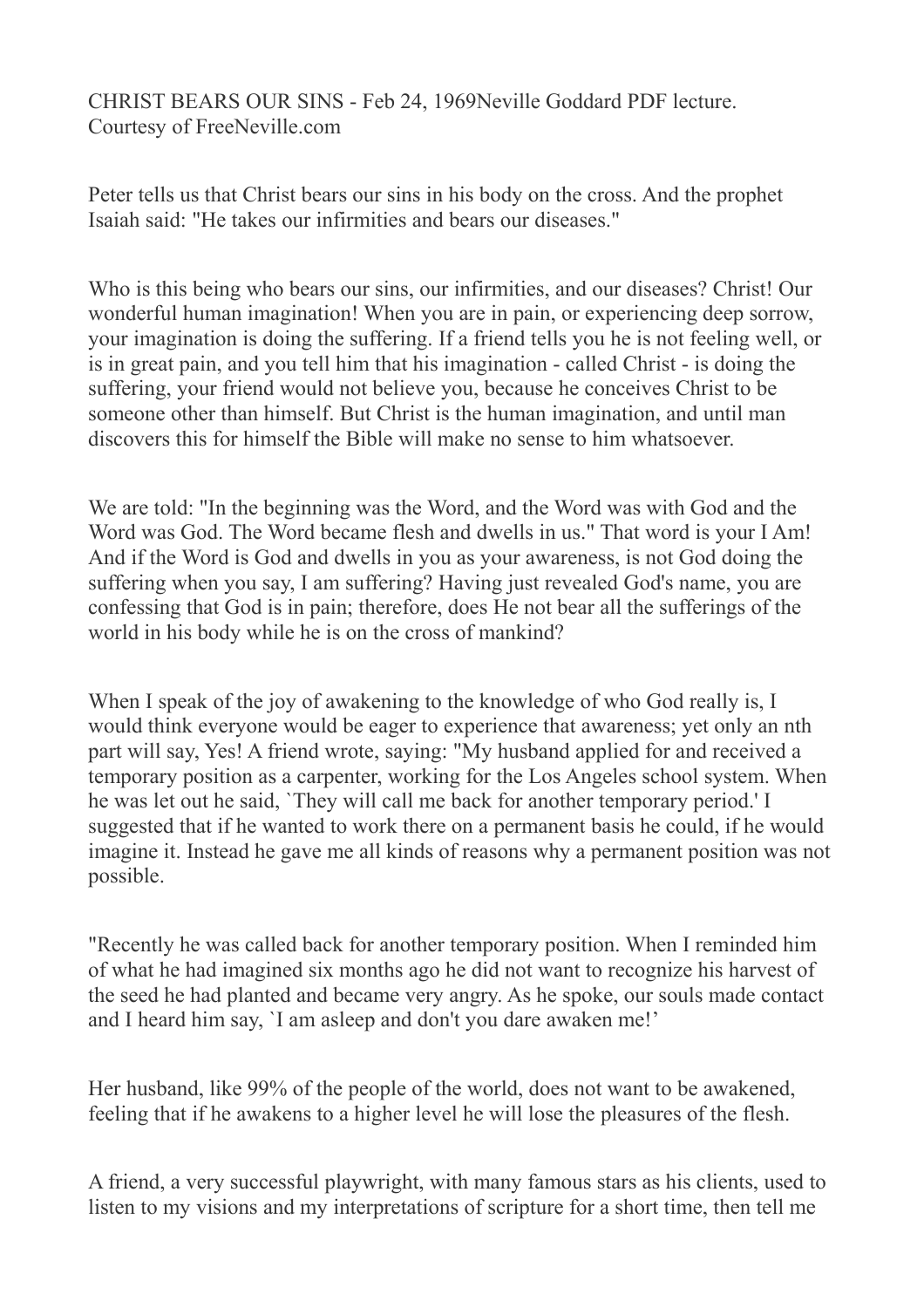CHRIST BEARS OUR SINS - Feb 24, 1969Neville Goddard PDF lecture. Courtesy of FreeNeville.com

Peter tells us that Christ bears our sins in his body on the cross. And the prophet Isaiah said: "He takes our infirmities and bears our diseases."

Who is this being who bears our sins, our infirmities, and our diseases? Christ! Our wonderful human imagination! When you are in pain, or experiencing deep sorrow, your imagination is doing the suffering. If a friend tells you he is not feeling well, or is in great pain, and you tell him that his imagination - called Christ - is doing the suffering, your friend would not believe you, because he conceives Christ to be someone other than himself. But Christ is the human imagination, and until man discovers this for himself the Bible will make no sense to him whatsoever.

We are told: "In the beginning was the Word, and the Word was with God and the Word was God. The Word became flesh and dwells in us." That word is your I Am! And if the Word is God and dwells in you as your awareness, is not God doing the suffering when you say, I am suffering? Having just revealed God's name, you are confessing that God is in pain; therefore, does He not bear all the sufferings of the world in his body while he is on the cross of mankind?

When I speak of the joy of awakening to the knowledge of who God really is, I would think everyone would be eager to experience that awareness; yet only an nth part will say, Yes! A friend wrote, saying: "My husband applied for and received a temporary position as a carpenter, working for the Los Angeles school system. When he was let out he said, `They will call me back for another temporary period.' I suggested that if he wanted to work there on a permanent basis he could, if he would imagine it. Instead he gave me all kinds of reasons why a permanent position was not possible.

"Recently he was called back for another temporary position. When I reminded him of what he had imagined six months ago he did not want to recognize his harvest of the seed he had planted and became very angry. As he spoke, our souls made contact and I heard him say, `I am asleep and don't you dare awaken me!'

Her husband, like 99% of the people of the world, does not want to be awakened, feeling that if he awakens to a higher level he will lose the pleasures of the flesh.

A friend, a very successful playwright, with many famous stars as his clients, used to listen to my visions and my interpretations of scripture for a short time, then tell me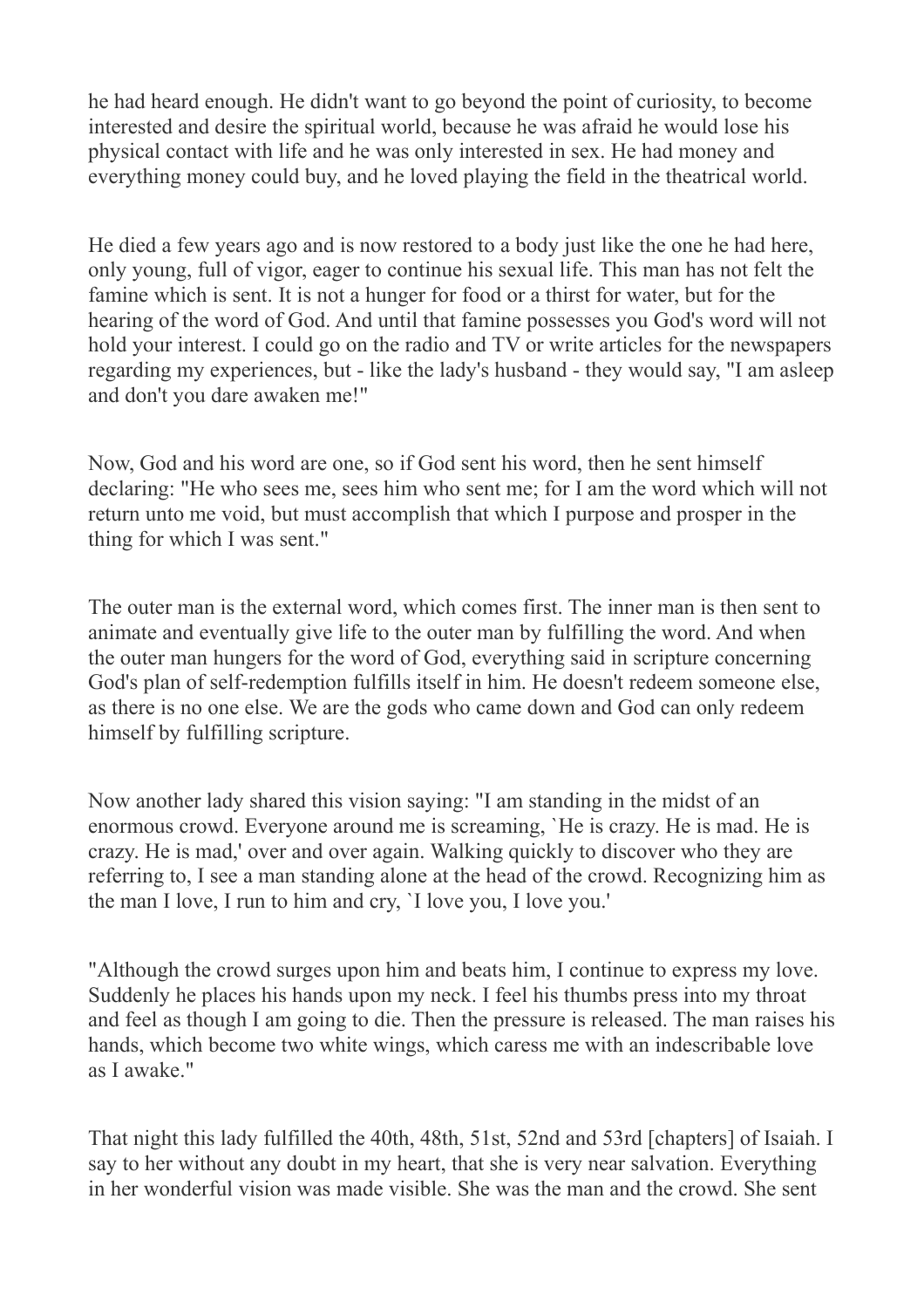he had heard enough. He didn't want to go beyond the point of curiosity, to become interested and desire the spiritual world, because he was afraid he would lose his physical contact with life and he was only interested in sex. He had money and everything money could buy, and he loved playing the field in the theatrical world.

He died a few years ago and is now restored to a body just like the one he had here, only young, full of vigor, eager to continue his sexual life. This man has not felt the famine which is sent. It is not a hunger for food or a thirst for water, but for the hearing of the word of God. And until that famine possesses you God's word will not hold your interest. I could go on the radio and TV or write articles for the newspapers regarding my experiences, but - like the lady's husband - they would say, "I am asleep and don't you dare awaken me!"

Now, God and his word are one, so if God sent his word, then he sent himself declaring: "He who sees me, sees him who sent me; for I am the word which will not return unto me void, but must accomplish that which I purpose and prosper in the thing for which I was sent."

The outer man is the external word, which comes first. The inner man is then sent to animate and eventually give life to the outer man by fulfilling the word. And when the outer man hungers for the word of God, everything said in scripture concerning God's plan of self-redemption fulfills itself in him. He doesn't redeem someone else, as there is no one else. We are the gods who came down and God can only redeem himself by fulfilling scripture.

Now another lady shared this vision saying: "I am standing in the midst of an enormous crowd. Everyone around me is screaming, `He is crazy. He is mad. He is crazy. He is mad,' over and over again. Walking quickly to discover who they are referring to, I see a man standing alone at the head of the crowd. Recognizing him as the man I love, I run to him and cry, `I love you, I love you.'

"Although the crowd surges upon him and beats him, I continue to express my love. Suddenly he places his hands upon my neck. I feel his thumbs press into my throat and feel as though I am going to die. Then the pressure is released. The man raises his hands, which become two white wings, which caress me with an indescribable love as I awake."

That night this lady fulfilled the 40th, 48th, 51st, 52nd and 53rd [chapters] of Isaiah. I say to her without any doubt in my heart, that she is very near salvation. Everything in her wonderful vision was made visible. She was the man and the crowd. She sent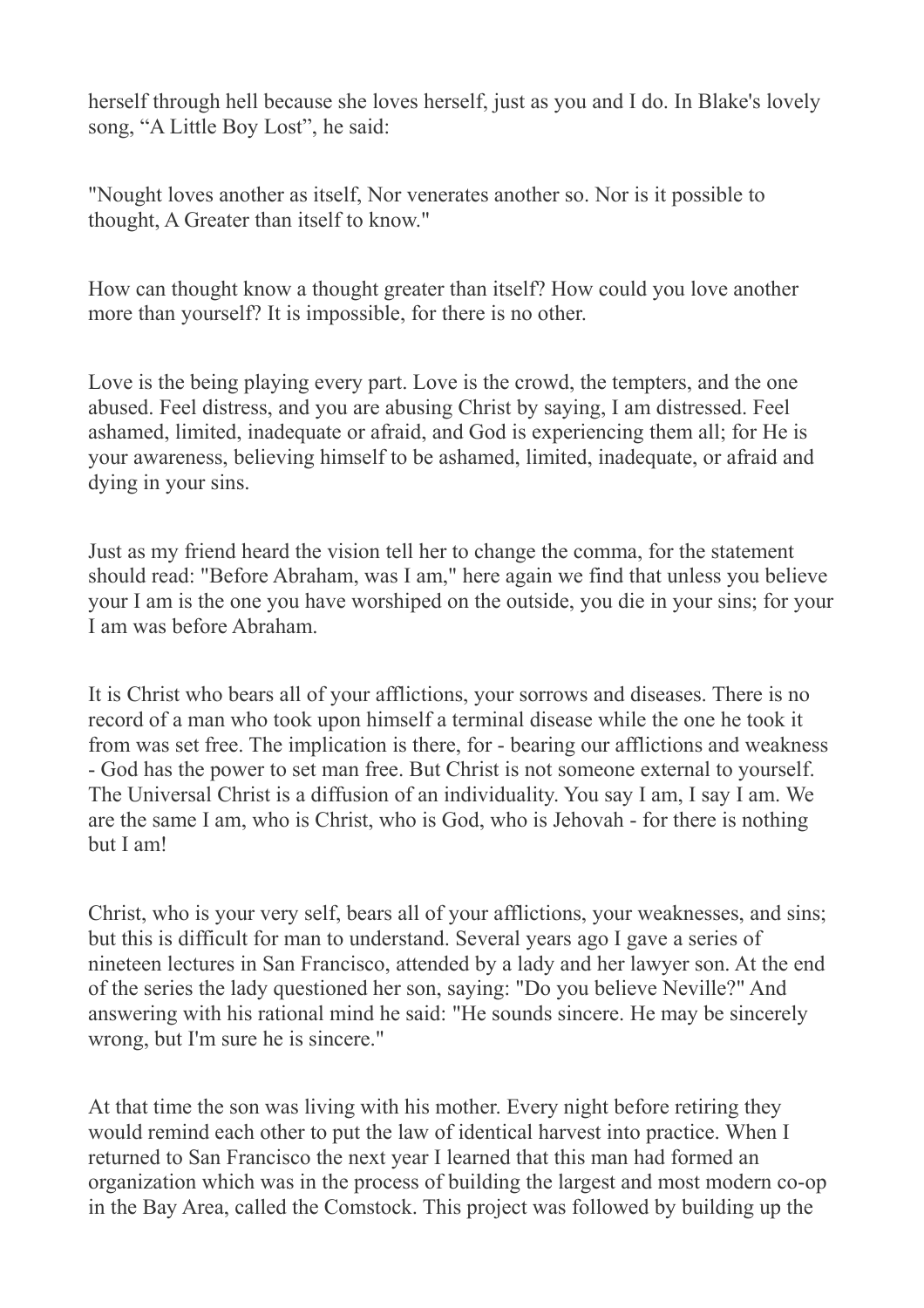herself through hell because she loves herself, just as you and I do. In Blake's lovely song, "A Little Boy Lost", he said:

"Nought loves another as itself, Nor venerates another so. Nor is it possible to thought, A Greater than itself to know."

How can thought know a thought greater than itself? How could you love another more than yourself? It is impossible, for there is no other.

Love is the being playing every part. Love is the crowd, the tempters, and the one abused. Feel distress, and you are abusing Christ by saying, I am distressed. Feel ashamed, limited, inadequate or afraid, and God is experiencing them all; for He is your awareness, believing himself to be ashamed, limited, inadequate, or afraid and dying in your sins.

Just as my friend heard the vision tell her to change the comma, for the statement should read: "Before Abraham, was I am," here again we find that unless you believe your I am is the one you have worshiped on the outside, you die in your sins; for your I am was before Abraham.

It is Christ who bears all of your afflictions, your sorrows and diseases. There is no record of a man who took upon himself a terminal disease while the one he took it from was set free. The implication is there, for - bearing our afflictions and weakness - God has the power to set man free. But Christ is not someone external to yourself. The Universal Christ is a diffusion of an individuality. You say I am, I say I am. We are the same I am, who is Christ, who is God, who is Jehovah - for there is nothing but I am!

Christ, who is your very self, bears all of your afflictions, your weaknesses, and sins; but this is difficult for man to understand. Several years ago I gave a series of nineteen lectures in San Francisco, attended by a lady and her lawyer son. At the end of the series the lady questioned her son, saying: "Do you believe Neville?" And answering with his rational mind he said: "He sounds sincere. He may be sincerely wrong, but I'm sure he is sincere."

At that time the son was living with his mother. Every night before retiring they would remind each other to put the law of identical harvest into practice. When I returned to San Francisco the next year I learned that this man had formed an organization which was in the process of building the largest and most modern co-op in the Bay Area, called the Comstock. This project was followed by building up the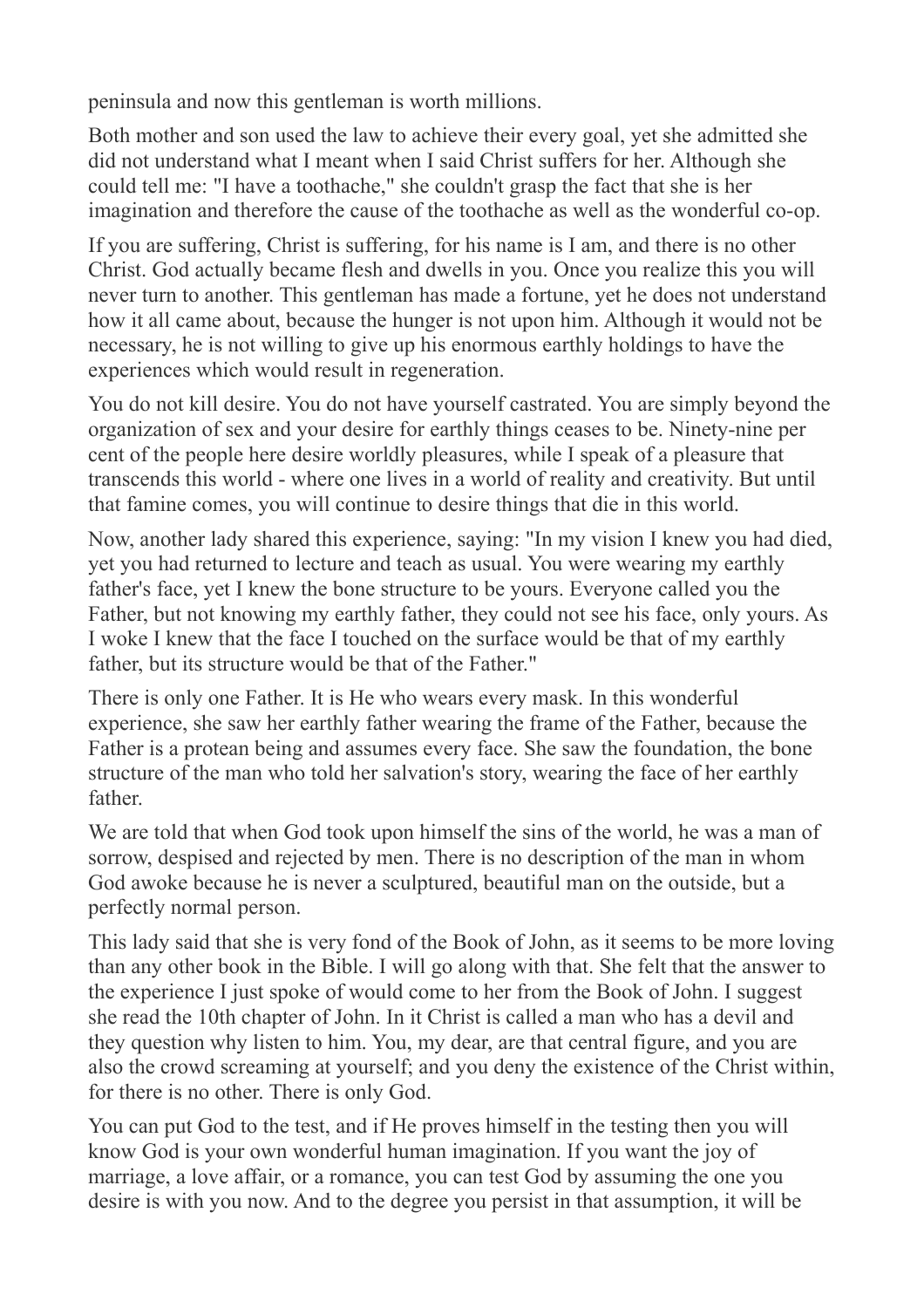peninsula and now this gentleman is worth millions.

Both mother and son used the law to achieve their every goal, yet she admitted she did not understand what I meant when I said Christ suffers for her. Although she could tell me: "I have a toothache," she couldn't grasp the fact that she is her imagination and therefore the cause of the toothache as well as the wonderful co-op.

If you are suffering, Christ is suffering, for his name is I am, and there is no other Christ. God actually became flesh and dwells in you. Once you realize this you will never turn to another. This gentleman has made a fortune, yet he does not understand how it all came about, because the hunger is not upon him. Although it would not be necessary, he is not willing to give up his enormous earthly holdings to have the experiences which would result in regeneration.

You do not kill desire. You do not have yourself castrated. You are simply beyond the organization of sex and your desire for earthly things ceases to be. Ninety-nine per cent of the people here desire worldly pleasures, while I speak of a pleasure that transcends this world - where one lives in a world of reality and creativity. But until that famine comes, you will continue to desire things that die in this world.

Now, another lady shared this experience, saying: "In my vision I knew you had died, yet you had returned to lecture and teach as usual. You were wearing my earthly father's face, yet I knew the bone structure to be yours. Everyone called you the Father, but not knowing my earthly father, they could not see his face, only yours. As I woke I knew that the face I touched on the surface would be that of my earthly father, but its structure would be that of the Father."

There is only one Father. It is He who wears every mask. In this wonderful experience, she saw her earthly father wearing the frame of the Father, because the Father is a protean being and assumes every face. She saw the foundation, the bone structure of the man who told her salvation's story, wearing the face of her earthly father.

We are told that when God took upon himself the sins of the world, he was a man of sorrow, despised and rejected by men. There is no description of the man in whom God awoke because he is never a sculptured, beautiful man on the outside, but a perfectly normal person.

This lady said that she is very fond of the Book of John, as it seems to be more loving than any other book in the Bible. I will go along with that. She felt that the answer to the experience I just spoke of would come to her from the Book of John. I suggest she read the 10th chapter of John. In it Christ is called a man who has a devil and they question why listen to him. You, my dear, are that central figure, and you are also the crowd screaming at yourself; and you deny the existence of the Christ within, for there is no other. There is only God.

You can put God to the test, and if He proves himself in the testing then you will know God is your own wonderful human imagination. If you want the joy of marriage, a love affair, or a romance, you can test God by assuming the one you desire is with you now. And to the degree you persist in that assumption, it will be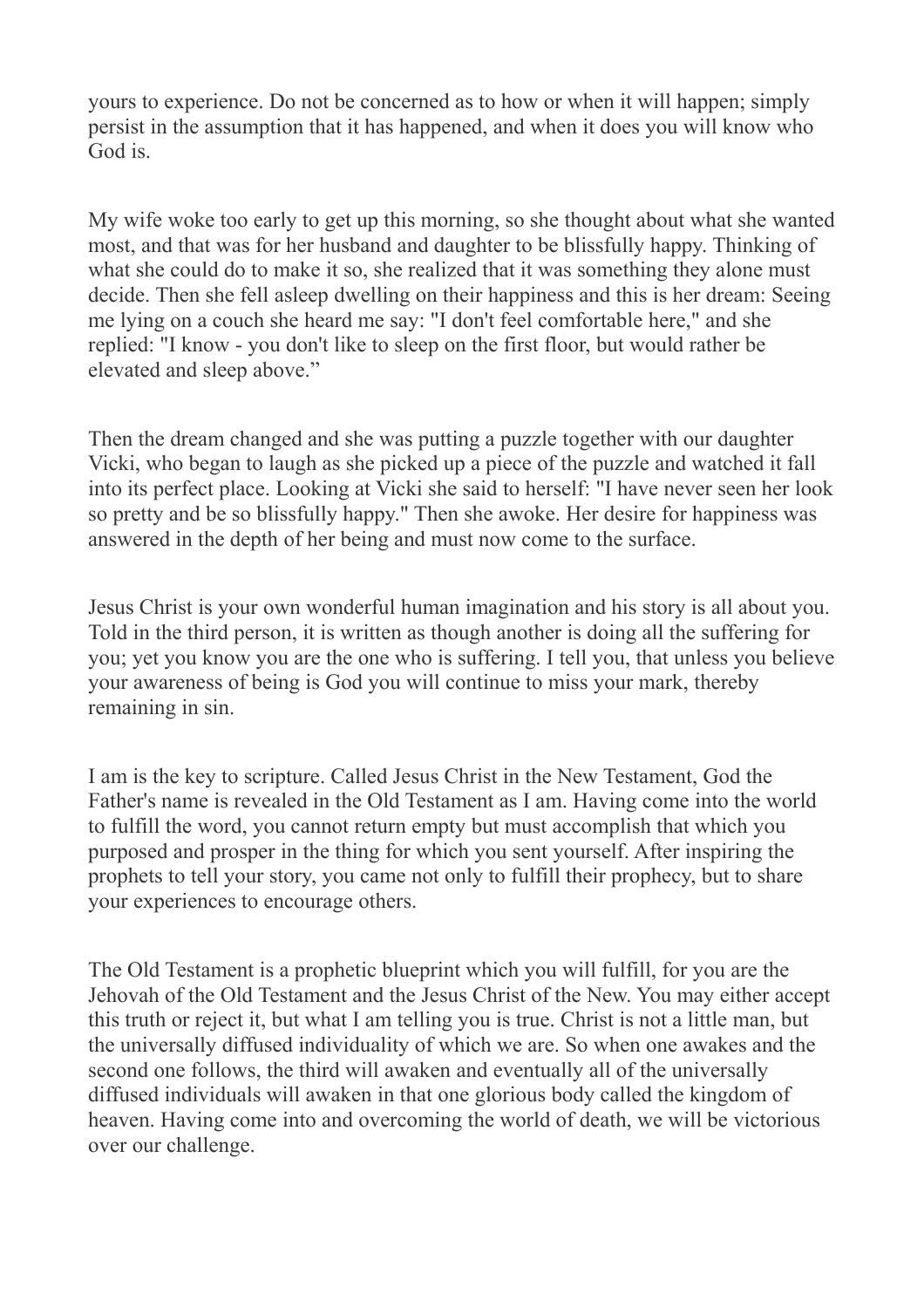yours to experience. Do not be concerned as to how or when it will happen; simply persist in the assumption that it has happened, and when it does you will know who God is.

My wife woke too early to get up this morning, so she thought about what she wanted most, and that was for her husband and daughter to be blissfully happy. Thinking of what she could do to make it so, she realized that it was something they alone must decide. Then she fell asleep dwelling on their happiness and this is her dream: Seeing me lying on a couch she heard me say: "I don't feel comfortable here," and she replied: "I know - you don't like to sleep on the first floor, but would rather be elevated and sleep above."

Then the dream changed and she was putting a puzzle together with our daughter Vicki, who began to laugh as she picked up a piece of the puzzle and watched it fall into its perfect place. Looking at Vicki she said to herself: "I have never seen her look so pretty and be so blissfully happy." Then she awoke. Her desire for happiness was answered in the depth of her being and must now come to the surface.

Jesus Christ is your own wonderful human imagination and his story is all about you. Told in the third person, it is written as though another is doing all the suffering for you; yet you know you are the one who is suffering. I tell you, that unless you believe your awareness of being is God you will continue to miss your mark, thereby remaining in sin.

I am is the key to scripture. Called Jesus Christ in the New Testament, God the Father's name is revealed in the Old Testament as I am. Having come into the world to fulfill the word, you cannot return empty but must accomplish that which you purposed and prosper in the thing for which you sent yourself. After inspiring the prophets to tell your story, you came not only to fulfill their prophecy, but to share your experiences to encourage others.

The Old Testament is a prophetic blueprint which you will fulfill, for you are the Jehovah of the Old Testament and the Jesus Christ of the New. You may either accept this truth or reject it, but what I am telling you is true. Christ is not a little man, but the universally diffused individuality of which we are. So when one awakes and the second one follows, the third will awaken and eventually all of the universally diffused individuals will awaken in that one glorious body called the kingdom of heaven. Having come into and overcoming the world of death, we will be victorious over our challenge.